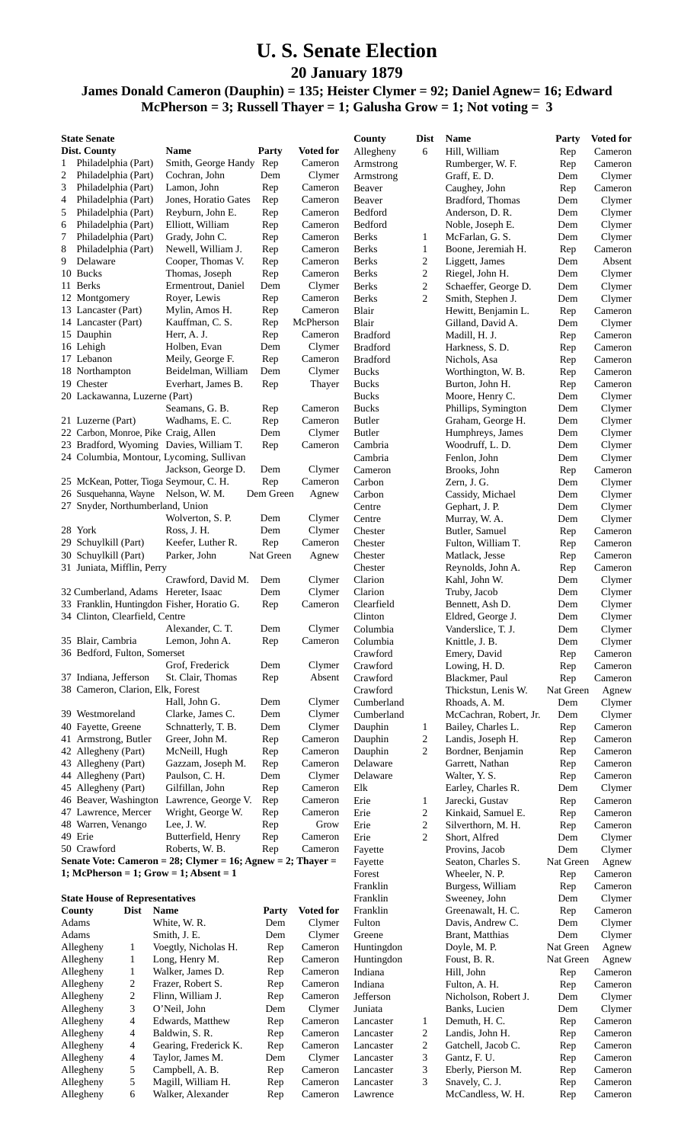## **U. S. Senate Election**

**20 January 1879**

## **James Donald Cameron (Dauphin) = 135; Heister Clymer = 92; Daniel Agnew= 16; Edward McPherson = 3; Russell Thayer = 1; Galusha Grow = 1; Not voting = 3**

| <b>State Senate</b> |                                                           |                                                                                     |              |                      | County                   | <b>Dist</b>         | <b>Name</b>                              | Party            | <b>Voted for</b>   |
|---------------------|-----------------------------------------------------------|-------------------------------------------------------------------------------------|--------------|----------------------|--------------------------|---------------------|------------------------------------------|------------------|--------------------|
|                     | Dist. County                                              | Name                                                                                | Party        | <b>Voted for</b>     | Allegheny                | 6                   | Hill, William                            | Rep              | Cameron            |
| 1                   | Philadelphia (Part)                                       | Smith, George Handy Rep                                                             |              | Cameron              | Armstrong                |                     | Rumberger, W. F.                         | Rep              | Cameron            |
| 2                   | Philadelphia (Part)                                       | Cochran, John                                                                       | Dem          | Clymer               | Armstrong                |                     | Graff, E.D.                              | Dem              | Clymer             |
| 3                   | Philadelphia (Part)                                       | Lamon, John                                                                         | Rep          | Cameron<br>Cameron   | Beaver                   |                     | Caughey, John                            | Rep              | Cameron            |
| 4<br>5              | Philadelphia (Part)<br>Philadelphia (Part)                | Jones, Horatio Gates<br>Reyburn, John E.                                            | Rep<br>Rep   | Cameron              | Beaver<br>Bedford        |                     | Bradford, Thomas<br>Anderson, D. R.      | Dem<br>Dem       | Clymer<br>Clymer   |
| 6                   | Philadelphia (Part)                                       | Elliott, William                                                                    | Rep          | Cameron              | Bedford                  |                     | Noble, Joseph E.                         | Dem              | Clymer             |
| 7                   | Philadelphia (Part)                                       | Grady, John C.                                                                      | Rep          | Cameron              | Berks                    | 1                   | McFarlan, G. S.                          | Dem              | Clymer             |
| 8                   | Philadelphia (Part)                                       | Newell, William J.                                                                  | Rep          | Cameron              | Berks                    | $\mathbf{1}$        | Boone, Jeremiah H.                       | Rep              | Cameron            |
| 9                   | Delaware                                                  | Cooper, Thomas V.                                                                   | Rep          | Cameron              | <b>Berks</b>             | $\boldsymbol{2}$    | Liggett, James                           | Dem              | Absent             |
|                     | 10 Bucks                                                  | Thomas, Joseph                                                                      | Rep          | Cameron              | <b>Berks</b>             | $\overline{c}$      | Riegel, John H.                          | Dem              | Clymer             |
|                     | 11 Berks                                                  | Ermentrout, Daniel                                                                  | Dem          | Clymer               | <b>Berks</b>             | $\overline{c}$      | Schaeffer, George D.                     | Dem              | Clymer             |
|                     | 12 Montgomery                                             | Royer, Lewis                                                                        | Rep          | Cameron              | Berks                    | $\overline{c}$      | Smith, Stephen J.                        | Dem              | Clymer             |
|                     | 13 Lancaster (Part)                                       | Mylin, Amos H.                                                                      | Rep          | Cameron<br>McPherson | Blair                    |                     | Hewitt, Benjamin L.                      | Rep              | Cameron            |
|                     | 14 Lancaster (Part)<br>15 Dauphin                         | Kauffman, C. S.<br>Herr, A. J.                                                      | Rep<br>Rep   | Cameron              | Blair<br><b>Bradford</b> |                     | Gilland, David A.<br>Madill, H. J.       | Dem<br>Rep       | Clymer<br>Cameron  |
|                     | 16 Lehigh                                                 | Holben, Evan                                                                        | Dem          | Clymer               | <b>Bradford</b>          |                     | Harkness, S. D.                          | Rep              | Cameron            |
|                     | 17 Lebanon                                                | Meily, George F.                                                                    | Rep          | Cameron              | <b>Bradford</b>          |                     | Nichols, Asa                             | Rep              | Cameron            |
|                     | 18 Northampton                                            | Beidelman, William                                                                  | Dem          | Clymer               | <b>Bucks</b>             |                     | Worthington, W. B.                       | Rep              | Cameron            |
|                     | 19 Chester                                                | Everhart, James B.                                                                  | Rep          | Thayer               | <b>Bucks</b>             |                     | Burton, John H.                          | Rep              | Cameron            |
|                     | 20 Lackawanna, Luzerne (Part)                             |                                                                                     |              |                      | <b>Bucks</b>             |                     | Moore, Henry C.                          | Dem              | Clymer             |
|                     |                                                           | Seamans, G. B.                                                                      | Rep          | Cameron              | <b>Bucks</b>             |                     | Phillips, Symington                      | Dem              | Clymer             |
|                     | 21 Luzerne (Part)                                         | Wadhams, E. C.                                                                      | Rep          | Cameron              | <b>Butler</b>            |                     | Graham, George H.                        | Dem              | Clymer             |
|                     | 22 Carbon, Monroe, Pike Craig, Allen                      |                                                                                     | Dem          | Clymer<br>Cameron    | <b>Butler</b>            |                     | Humphreys, James                         | Dem              | Clymer             |
|                     |                                                           | 23 Bradford, Wyoming Davies, William T.<br>24 Columbia, Montour, Lycoming, Sullivan | Rep          |                      | Cambria<br>Cambria       |                     | Woodruff, L.D.<br>Fenlon, John           | Dem<br>Dem       | Clymer<br>Clymer   |
|                     |                                                           | Jackson, George D.                                                                  | Dem          | Clymer               | Cameron                  |                     | Brooks, John                             | Rep              | Cameron            |
|                     | 25 McKean, Potter, Tioga Seymour, C. H.                   |                                                                                     | Rep          | Cameron              | Carbon                   |                     | Zern, J. G.                              | Dem              | Clymer             |
|                     | 26 Susquehanna, Wayne Nelson, W. M.                       |                                                                                     | Dem Green    | Agnew                | Carbon                   |                     | Cassidy, Michael                         | Dem              | Clymer             |
|                     | 27 Snyder, Northumberland, Union                          |                                                                                     |              |                      | Centre                   |                     | Gephart, J. P.                           | Dem              | Clymer             |
|                     |                                                           | Wolverton, S. P.                                                                    | Dem          | Clymer               | Centre                   |                     | Murray, W. A.                            | Dem              | Clymer             |
|                     | 28 York                                                   | Ross, J. H.                                                                         | Dem          | Clymer               | Chester                  |                     | Butler, Samuel                           | Rep              | Cameron            |
|                     | 29 Schuylkill (Part)                                      | Keefer, Luther R.                                                                   | Rep          | Cameron              | Chester                  |                     | Fulton, William T.                       | Rep              | Cameron            |
|                     | 30 Schuylkill (Part)                                      | Parker, John                                                                        | Nat Green    | Agnew                | Chester                  |                     | Matlack, Jesse                           | Rep              | Cameron            |
|                     | 31 Juniata, Mifflin, Perry                                | Crawford, David M.                                                                  | Dem          | Clymer               | Chester<br>Clarion       |                     | Reynolds, John A.<br>Kahl, John W.       | Rep<br>Dem       | Cameron<br>Clymer  |
|                     | 32 Cumberland, Adams Hereter, Isaac                       |                                                                                     | Dem          | Clymer               | Clarion                  |                     | Truby, Jacob                             | Dem              | Clymer             |
|                     |                                                           | 33 Franklin, Huntingdon Fisher, Horatio G.                                          | Rep          | Cameron              | Clearfield               |                     | Bennett, Ash D.                          | Dem              | Clymer             |
|                     | 34 Clinton, Clearfield, Centre                            |                                                                                     |              |                      | Clinton                  |                     | Eldred, George J.                        | Dem              | Clymer             |
|                     |                                                           | Alexander, C. T.                                                                    | Dem          | Clymer               | Columbia                 |                     | Vanderslice, T. J.                       | Dem              | Clymer             |
|                     | 35 Blair, Cambria                                         | Lemon, John A.                                                                      | Rep          | Cameron              | Columbia                 |                     | Knittle, J. B.                           | Dem              | Clymer             |
|                     | 36 Bedford, Fulton, Somerset                              |                                                                                     |              |                      | Crawford                 |                     | Emery, David                             | Rep              | Cameron            |
|                     |                                                           | Grof, Frederick                                                                     | Dem          | Clymer               | Crawford                 |                     | Lowing, H. D.                            | Rep              | Cameron            |
|                     | 37 Indiana, Jefferson<br>38 Cameron, Clarion, Elk, Forest | St. Clair, Thomas                                                                   | Rep          | Absent               | Crawford<br>Crawford     |                     | Blackmer, Paul                           | Rep<br>Nat Green | Cameron            |
|                     |                                                           | Hall, John G.                                                                       | Dem          | Clymer               | Cumberland               |                     | Thickstun, Lenis W.<br>Rhoads, A. M.     | Dem              | Agnew<br>Clymer    |
|                     | 39 Westmoreland                                           | Clarke, James C.                                                                    | Dem          | Clymer               | Cumberland               |                     | McCachran, Robert, Jr.                   | Dem              | Clymer             |
|                     | 40 Fayette, Greene                                        | Schnatterly, T. B.                                                                  | Dem          | Clymer               | Dauphin                  | 1                   | Bailey, Charles L.                       | Rep              | Cameron            |
|                     | 41 Armstrong, Butler                                      | Greer, John M.                                                                      | Rep          | Cameron              | Dauphin                  | $\overline{c}$      | Landis, Joseph H.                        | Rep              | Cameron            |
|                     | 42 Allegheny (Part)                                       | McNeill, Hugh                                                                       | Rep          | Cameron              | Dauphin                  | 2                   | Bordner, Benjamin                        | Rep              | Cameron            |
|                     | 43 Allegheny (Part)                                       | Gazzam, Joseph M.                                                                   | Rep          | Cameron              | Delaware                 |                     | Garrett, Nathan                          | Rep              | Cameron            |
|                     | 44 Allegheny (Part)                                       | Paulson, C. H.                                                                      | Dem          | Clymer               | Delaware                 |                     | Walter, Y. S.                            | Rep              | Cameron            |
|                     | 45 Allegheny (Part)                                       | Gilfillan, John                                                                     | Rep          | Cameron              | Elk                      |                     | Earley, Charles R.                       | Dem              | Clymer             |
|                     | 46 Beaver, Washington<br>47 Lawrence, Mercer              | Lawrence, George V.<br>Wright, George W.                                            | Rep<br>Rep   | Cameron<br>Cameron   | Erie<br>Erie             | 1<br>$\overline{c}$ | Jarecki, Gustav                          | Rep              | Cameron<br>Cameron |
|                     | 48 Warren, Venango                                        | Lee, J.W.                                                                           | Rep          | Grow                 | Erie                     | $\overline{c}$      | Kinkaid, Samuel E.<br>Silverthorn, M. H. | Rep<br>Rep       | Cameron            |
|                     | 49 Erie                                                   | Butterfield, Henry                                                                  | Rep          | Cameron              | Erie                     | $\overline{c}$      | Short, Alfred                            | Dem              | Clymer             |
|                     | 50 Crawford                                               | Roberts, W. B.                                                                      | Rep          | Cameron              | Fayette                  |                     | Provins, Jacob                           | Dem              | Clymer             |
|                     |                                                           | Senate Vote: Cameron = 28; Clymer = 16; Agnew = 2; Thayer =                         |              |                      | Fayette                  |                     | Seaton, Charles S.                       | Nat Green        | Agnew              |
|                     |                                                           | 1; McPherson = 1; Grow = 1; Absent = 1                                              |              |                      | Forest                   |                     | Wheeler, N. P.                           | Rep              | Cameron            |
|                     |                                                           |                                                                                     |              |                      | Franklin                 |                     | Burgess, William                         | Rep              | Cameron            |
|                     | <b>State House of Representatives</b>                     |                                                                                     |              |                      | Franklin                 |                     | Sweeney, John                            | Dem              | Clymer             |
|                     | County<br>Dist<br>Adams                                   | Name                                                                                | Party<br>Dem | <b>Voted for</b>     | Franklin<br>Fulton       |                     | Greenawalt, H. C.                        | Rep              | Cameron            |
|                     | Adams                                                     | White, W. R.<br>Smith, J. E.                                                        | Dem          | Clymer<br>Clymer     | Greene                   |                     | Davis, Andrew C.<br>Brant, Matthias      | Dem<br>Dem       | Clymer<br>Clymer   |
|                     | Allegheny<br>1                                            | Voegtly, Nicholas H.                                                                | Rep          | Cameron              | Huntingdon               |                     | Doyle, M. P.                             | Nat Green        | Agnew              |
|                     | $\mathbf{1}$<br>Allegheny                                 | Long, Henry M.                                                                      | Rep          | Cameron              | Huntingdon               |                     | Foust, B. R.                             | Nat Green        | Agnew              |
|                     | $\mathbf{1}$<br>Allegheny                                 | Walker, James D.                                                                    | Rep          | Cameron              | Indiana                  |                     | Hill, John                               | Rep              | Cameron            |
|                     | $\overline{\mathbf{c}}$<br>Allegheny                      | Frazer, Robert S.                                                                   | Rep          | Cameron              | Indiana                  |                     | Fulton, A. H.                            | Rep              | Cameron            |
|                     | $\overline{\mathbf{c}}$<br>Allegheny                      | Flinn, William J.                                                                   | Rep          | Cameron              | Jefferson                |                     | Nicholson, Robert J.                     | Dem              | Clymer             |
|                     | 3<br>Allegheny                                            | O'Neil, John                                                                        | Dem          | Clymer               | Juniata                  |                     | Banks, Lucien                            | Dem              | Clymer             |
|                     | 4<br>Allegheny                                            | Edwards, Matthew                                                                    | Rep          | Cameron              | Lancaster                | $\mathbf{1}$        | Demuth, H. C.                            | Rep              | Cameron            |
|                     | 4<br>Allegheny<br>4<br>Allegheny                          | Baldwin, S. R.                                                                      | Rep          | Cameron              | Lancaster                | 2                   | Landis, John H.                          | Rep              | Cameron<br>Cameron |
|                     | Allegheny<br>4                                            | Gearing, Frederick K.<br>Taylor, James M.                                           | Rep<br>Dem   | Cameron<br>Clymer    | Lancaster<br>Lancaster   | 2<br>3              | Gatchell, Jacob C.<br>Gantz, F. U.       | Rep<br>Rep       | Cameron            |
|                     | Allegheny<br>5                                            | Campbell, A. B.                                                                     | Rep          | Cameron              | Lancaster                | 3                   | Eberly, Pierson M.                       | Rep              | Cameron            |
|                     | 5<br>Allegheny                                            | Magill, William H.                                                                  | Rep          | Cameron              | Lancaster                | 3                   | Snavely, C. J.                           | Rep              | Cameron            |
|                     | Allegheny<br>6                                            | Walker, Alexander                                                                   | Rep          | Cameron              | Lawrence                 |                     | McCandless, W. H.                        | Rep              | Cameron            |